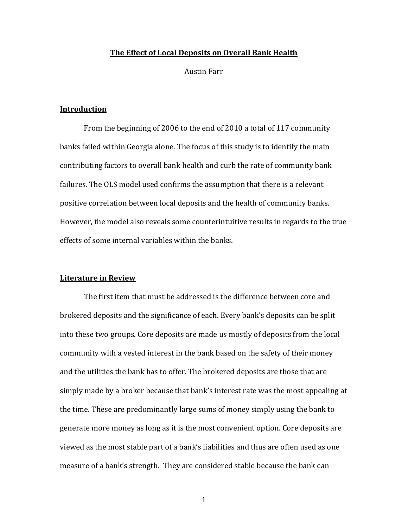## **The Effect of Local Deposits on Overall Bank Health**

Austin Farr

## **Introduction**

From the beginning of 2006 to the end of 2010 a total of 117 community banks failed within Georgia alone. The focus of this study is to identify the main contributing factors to overall bank health and curb the rate of community bank failures. The OLS model used confirms the assumption that there is a relevant positive correlation between local deposits and the health of community banks. However, the model also reveals some counterintuitive results in regards to the true effects of some internal variables within the banks.

#### **Literature in Review**

The first item that must be addressed is the difference between core and brokered deposits and the significance of each. Every bank's deposits can be split into these two groups. Core deposits are made us mostly of deposits from the local community with a vested interest in the bank based on the safety of their money and the utilities the bank has to offer. The brokered deposits are those that are simply made by a broker because that bank's interest rate was the most appealing at the time. These are predominantly large sums of money simply using the bank to generate more money as long as it is the most convenient option. Core deposits are viewed as the most stable part of a bank's liabilities and thus are often used as one measure of a bank's strength. They are considered stable because the bank can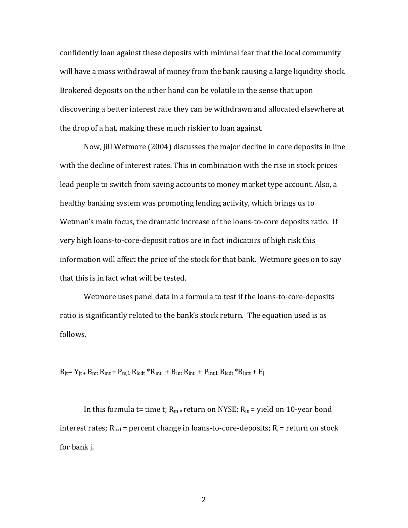confidently loan against these deposits with minimal fear that the local community will have a mass withdrawal of money from the bank causing a large liquidity shock. Brokered deposits on the other hand can be volatile in the sense that upon discovering a better interest rate they can be withdrawn and allocated elsewhere at the drop of a hat, making these much riskier to loan against.

Now, Jill Wetmore (2004) discusses the major decline in core deposits in line with the decline of interest rates. This in combination with the rise in stock prices lead people to switch from saving accounts to money market type account. Also, a healthy banking system was promoting lending activity, which brings us to Wetman's main focus, the dramatic increase of the loans-to-core deposits ratio. If very high loans-to-core-deposit ratios are in fact indicators of high risk this information will affect the price of the stock for that bank. Wetmore goes on to say that this is in fact what will be tested.

Wetmore uses panel data in a formula to test if the loans-to-core-deposits ratio is significantly related to the bank's stock return. The equation used is as follows.

 $R_{it} = Y_{it} + B_{mt}R_{mt} + P_{m,L}R_{lcdt} * R_{mt} + B_{int}R_{intt} + P_{int,L}R_{lcdt} * R_{intt} + E_{j}$ 

In this formula t= time t;  $R_m$  = return on NYSE;  $R_m$  = yield on 10-year bond interest rates;  $R_{\text{led}}$  = percent change in loans-to-core-deposits;  $R_{\text{i}}$  = return on stock for bank j.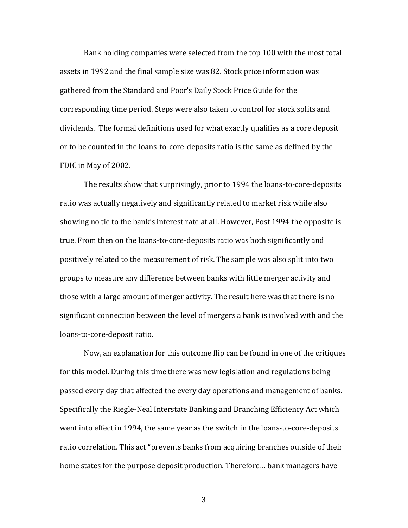Bank holding companies were selected from the top 100 with the most total assets in 1992 and the final sample size was 82. Stock price information was gathered from the Standard and Poor's Daily Stock Price Guide for the corresponding time period. Steps were also taken to control for stock splits and dividends. The formal definitions used for what exactly qualifies as a core deposit or to be counted in the loans-to-core-deposits ratio is the same as defined by the FDIC in May of 2002.

The results show that surprisingly, prior to 1994 the loans-to-core-deposits ratio was actually negatively and significantly related to market risk while also showing no tie to the bank's interest rate at all. However, Post 1994 the opposite is true. From then on the loans-to-core-deposits ratio was both significantly and positively related to the measurement of risk. The sample was also split into two groups to measure any difference between banks with little merger activity and those with a large amount of merger activity. The result here was that there is no significant connection between the level of mergers a bank is involved with and the loans-to-core-deposit ratio.

Now, an explanation for this outcome flip can be found in one of the critiques for this model. During this time there was new legislation and regulations being passed every day that affected the every day operations and management of banks. Specifically the Riegle-Neal Interstate Banking and Branching Efficiency Act which went into effect in 1994, the same year as the switch in the loans-to-core-deposits ratio correlation. This act "prevents banks from acquiring branches outside of their home states for the purpose deposit production. Therefore… bank managers have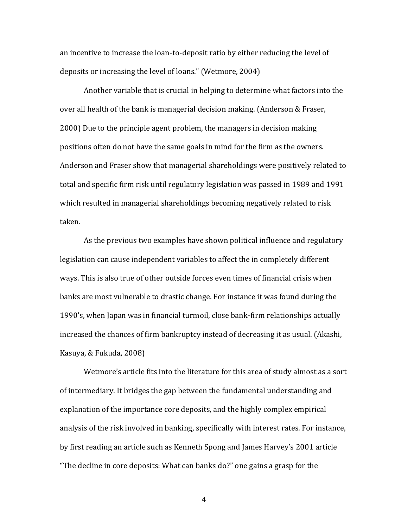an incentive to increase the loan-to-deposit ratio by either reducing the level of deposits or increasing the level of loans." (Wetmore, 2004)

Another variable that is crucial in helping to determine what factors into the over all health of the bank is managerial decision making. (Anderson & Fraser, 2000) Due to the principle agent problem, the managers in decision making positions often do not have the same goals in mind for the firm as the owners. Anderson and Fraser show that managerial shareholdings were positively related to total and specific firm risk until regulatory legislation was passed in 1989 and 1991 which resulted in managerial shareholdings becoming negatively related to risk taken.

As the previous two examples have shown political influence and regulatory legislation can cause independent variables to affect the in completely different ways. This is also true of other outside forces even times of financial crisis when banks are most vulnerable to drastic change. For instance it was found during the 1990's, when Japan was in financial turmoil, close bank-firm relationships actually increased the chances of firm bankruptcy instead of decreasing it as usual. (Akashi, Kasuya, & Fukuda, 2008)

Wetmore's article fits into the literature for this area of study almost as a sort of intermediary. It bridges the gap between the fundamental understanding and explanation of the importance core deposits, and the highly complex empirical analysis of the risk involved in banking, specifically with interest rates. For instance, by first reading an article such as Kenneth Spong and James Harvey's 2001 article "The decline in core deposits: What can banks do?" one gains a grasp for the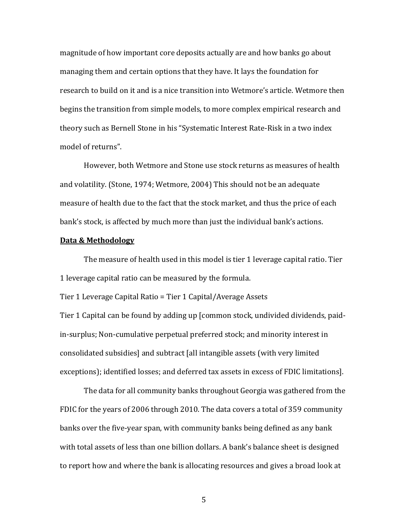magnitude of how important core deposits actually are and how banks go about managing them and certain options that they have. It lays the foundation for research to build on it and is a nice transition into Wetmore's article. Wetmore then begins the transition from simple models, to more complex empirical research and theory such as Bernell Stone in his "Systematic Interest Rate-Risk in a two index model of returns".

However, both Wetmore and Stone use stock returns as measures of health and volatility. (Stone, 1974; Wetmore, 2004) This should not be an adequate measure of health due to the fact that the stock market, and thus the price of each bank's stock, is affected by much more than just the individual bank's actions.

### **Data & Methodology**

The measure of health used in this model is tier 1 leverage capital ratio. Tier 1 leverage capital ratio can be measured by the formula.

Tier 1 Leverage Capital Ratio = Tier 1 Capital/Average Assets

Tier 1 Capital can be found by adding up [common stock, undivided dividends, paidin-surplus; Non-cumulative perpetual preferred stock; and minority interest in consolidated subsidies] and subtract [all intangible assets (with very limited exceptions); identified losses; and deferred tax assets in excess of FDIC limitations].

The data for all community banks throughout Georgia was gathered from the FDIC for the years of 2006 through 2010. The data covers a total of 359 community banks over the five-year span, with community banks being defined as any bank with total assets of less than one billion dollars. A bank's balance sheet is designed to report how and where the bank is allocating resources and gives a broad look at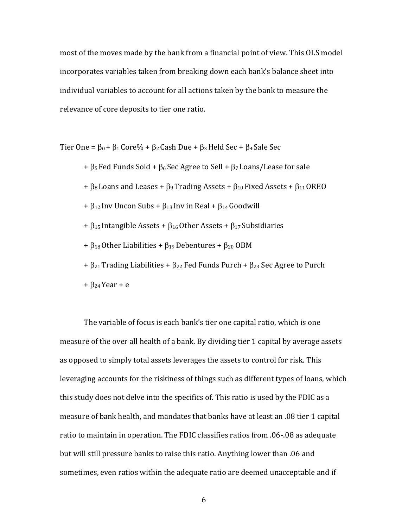most of the moves made by the bank from a financial point of view. This OLS model incorporates variables taken from breaking down each bank's balance sheet into individual variables to account for all actions taken by the bank to measure the relevance of core deposits to tier one ratio.

Tier One =  $\beta_0$  +  $\beta_1$  Core% +  $\beta_2$  Cash Due +  $\beta_3$  Held Sec +  $\beta_4$  Sale Sec

 $+ \beta_5$  Fed Funds Sold +  $\beta_6$  Sec Agree to Sell +  $\beta_7$  Loans/Lease for sale

 $+ \beta_8$  Loans and Leases +  $\beta_9$  Trading Assets +  $\beta_{10}$  Fixed Assets +  $\beta_{11}$  OREO

 $+ \beta_{12}$  Inv Uncon Subs  $+ \beta_{13}$  Inv in Real  $+ \beta_{14}$  Goodwill

+  $\beta_{15}$  Intangible Assets +  $\beta_{16}$  Other Assets +  $\beta_{17}$  Subsidiaries

+  $\beta_{18}$  Other Liabilities +  $\beta_{19}$  Debentures +  $\beta_{20}$  OBM

 $+ \beta_{21}$  Trading Liabilities +  $\beta_{22}$  Fed Funds Purch +  $\beta_{23}$  Sec Agree to Purch

+  $\beta_{24}$  Year + e

The variable of focus is each bank's tier one capital ratio, which is one measure of the over all health of a bank. By dividing tier 1 capital by average assets as opposed to simply total assets leverages the assets to control for risk. This leveraging accounts for the riskiness of things such as different types of loans, which this study does not delve into the specifics of. This ratio is used by the FDIC as a measure of bank health, and mandates that banks have at least an .08 tier 1 capital ratio to maintain in operation. The FDIC classifies ratios from .06-.08 as adequate but will still pressure banks to raise this ratio. Anything lower than .06 and sometimes, even ratios within the adequate ratio are deemed unacceptable and if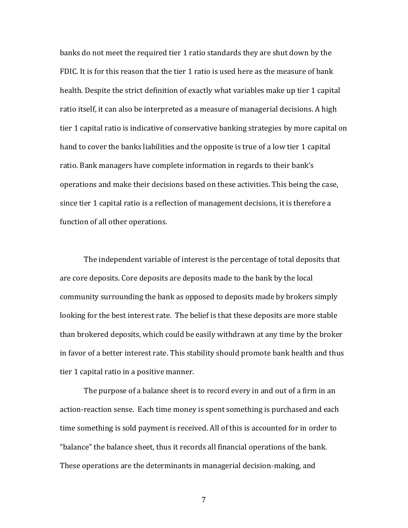banks do not meet the required tier 1 ratio standards they are shut down by the FDIC. It is for this reason that the tier 1 ratio is used here as the measure of bank health. Despite the strict definition of exactly what variables make up tier 1 capital ratio itself, it can also be interpreted as a measure of managerial decisions. A high tier 1 capital ratio is indicative of conservative banking strategies by more capital on hand to cover the banks liabilities and the opposite is true of a low tier 1 capital ratio. Bank managers have complete information in regards to their bank's operations and make their decisions based on these activities. This being the case, since tier 1 capital ratio is a reflection of management decisions, it is therefore a function of all other operations.

The independent variable of interest is the percentage of total deposits that are core deposits. Core deposits are deposits made to the bank by the local community surrounding the bank as opposed to deposits made by brokers simply looking for the best interest rate. The belief is that these deposits are more stable than brokered deposits, which could be easily withdrawn at any time by the broker in favor of a better interest rate. This stability should promote bank health and thus tier 1 capital ratio in a positive manner.

The purpose of a balance sheet is to record every in and out of a firm in an action-reaction sense. Each time money is spent something is purchased and each time something is sold payment is received. All of this is accounted for in order to "balance" the balance sheet, thus it records all financial operations of the bank. These operations are the determinants in managerial decision-making, and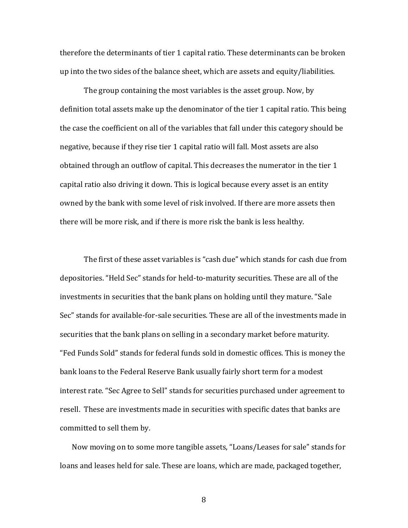therefore the determinants of tier 1 capital ratio. These determinants can be broken up into the two sides of the balance sheet, which are assets and equity/liabilities.

The group containing the most variables is the asset group. Now, by definition total assets make up the denominator of the tier 1 capital ratio. This being the case the coefficient on all of the variables that fall under this category should be negative, because if they rise tier 1 capital ratio will fall. Most assets are also obtained through an outflow of capital. This decreases the numerator in the tier 1 capital ratio also driving it down. This is logical because every asset is an entity owned by the bank with some level of risk involved. If there are more assets then there will be more risk, and if there is more risk the bank is less healthy.

The first of these asset variables is "cash due" which stands for cash due from depositories. "Held Sec" stands for held-to-maturity securities. These are all of the investments in securities that the bank plans on holding until they mature. "Sale Sec" stands for available-for-sale securities. These are all of the investments made in securities that the bank plans on selling in a secondary market before maturity. "Fed Funds Sold" stands for federal funds sold in domestic offices. This is money the bank loans to the Federal Reserve Bank usually fairly short term for a modest interest rate. "Sec Agree to Sell" stands for securities purchased under agreement to resell. These are investments made in securities with specific dates that banks are committed to sell them by.

Now moving on to some more tangible assets, "Loans/Leases for sale" stands for loans and leases held for sale. These are loans, which are made, packaged together,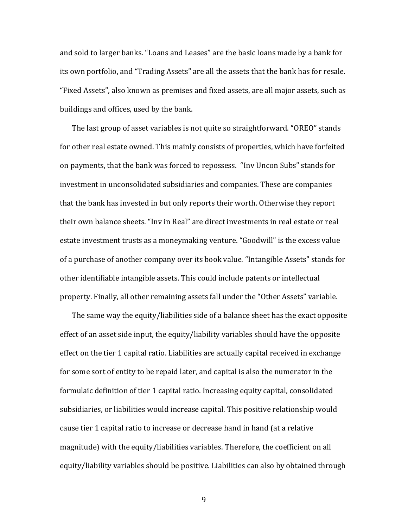and sold to larger banks. "Loans and Leases" are the basic loans made by a bank for its own portfolio, and "Trading Assets" are all the assets that the bank has for resale. "Fixed Assets", also known as premises and fixed assets, are all major assets, such as buildings and offices, used by the bank.

The last group of asset variables is not quite so straightforward. "OREO" stands for other real estate owned. This mainly consists of properties, which have forfeited on payments, that the bank was forced to repossess. "Inv Uncon Subs" stands for investment in unconsolidated subsidiaries and companies. These are companies that the bank has invested in but only reports their worth. Otherwise they report their own balance sheets. "Inv in Real" are direct investments in real estate or real estate investment trusts as a moneymaking venture. "Goodwill" is the excess value of a purchase of another company over its book value. "Intangible Assets" stands for other identifiable intangible assets. This could include patents or intellectual property. Finally, all other remaining assets fall under the "Other Assets" variable.

The same way the equity/liabilities side of a balance sheet has the exact opposite effect of an asset side input, the equity/liability variables should have the opposite effect on the tier 1 capital ratio. Liabilities are actually capital received in exchange for some sort of entity to be repaid later, and capital is also the numerator in the formulaic definition of tier 1 capital ratio. Increasing equity capital, consolidated subsidiaries, or liabilities would increase capital. This positive relationship would cause tier 1 capital ratio to increase or decrease hand in hand (at a relative magnitude) with the equity/liabilities variables. Therefore, the coefficient on all equity/liability variables should be positive. Liabilities can also by obtained through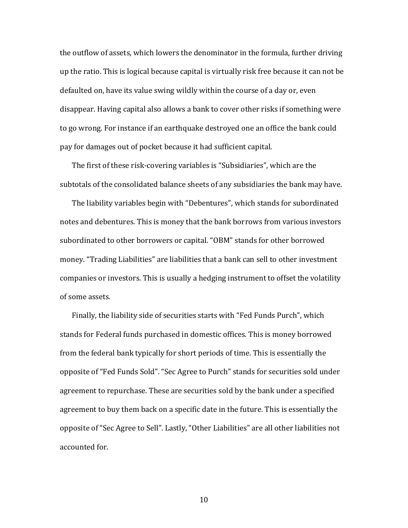the outflow of assets, which lowers the denominator in the formula, further driving up the ratio. This is logical because capital is virtually risk free because it can not be defaulted on, have its value swing wildly within the course of a day or, even disappear. Having capital also allows a bank to cover other risks if something were to go wrong. For instance if an earthquake destroyed one an office the bank could pay for damages out of pocket because it had sufficient capital.

The first of these risk-covering variables is "Subsidiaries", which are the subtotals of the consolidated balance sheets of any subsidiaries the bank may have.

The liability variables begin with "Debentures", which stands for subordinated notes and debentures. This is money that the bank borrows from various investors subordinated to other borrowers or capital. "OBM" stands for other borrowed money. "Trading Liabilities" are liabilities that a bank can sell to other investment companies or investors. This is usually a hedging instrument to offset the volatility of some assets.

Finally, the liability side of securities starts with "Fed Funds Purch", which stands for Federal funds purchased in domestic offices. This is money borrowed from the federal bank typically for short periods of time. This is essentially the opposite of "Fed Funds Sold". "Sec Agree to Purch" stands for securities sold under agreement to repurchase. These are securities sold by the bank under a specified agreement to buy them back on a specific date in the future. This is essentially the opposite of "Sec Agree to Sell". Lastly, "Other Liabilities" are all other liabilities not accounted for.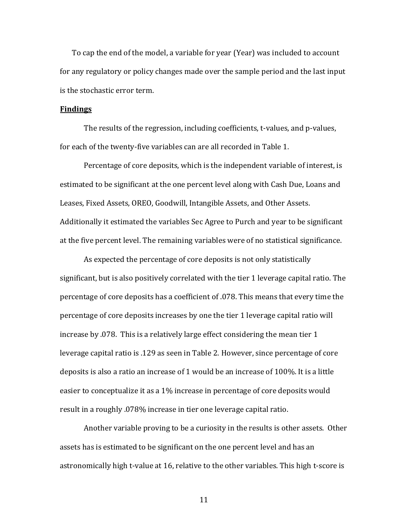To cap the end of the model, a variable for year (Year) was included to account for any regulatory or policy changes made over the sample period and the last input is the stochastic error term.

#### **Findings**

The results of the regression, including coefficients, t-values, and p-values, for each of the twenty-five variables can are all recorded in Table 1.

Percentage of core deposits, which is the independent variable of interest, is estimated to be significant at the one percent level along with Cash Due, Loans and Leases, Fixed Assets, OREO, Goodwill, Intangible Assets, and Other Assets. Additionally it estimated the variables Sec Agree to Purch and year to be significant at the five percent level. The remaining variables were of no statistical significance.

As expected the percentage of core deposits is not only statistically significant, but is also positively correlated with the tier 1 leverage capital ratio. The percentage of core deposits has a coefficient of .078. This means that every time the percentage of core deposits increases by one the tier 1 leverage capital ratio will increase by .078. This is a relatively large effect considering the mean tier 1 leverage capital ratio is .129 as seen in Table 2. However, since percentage of core deposits is also a ratio an increase of 1 would be an increase of 100%. It is a little easier to conceptualize it as a 1% increase in percentage of core deposits would result in a roughly .078% increase in tier one leverage capital ratio.

Another variable proving to be a curiosity in the results is other assets. Other assets has is estimated to be significant on the one percent level and has an astronomically high t-value at 16, relative to the other variables. This high t-score is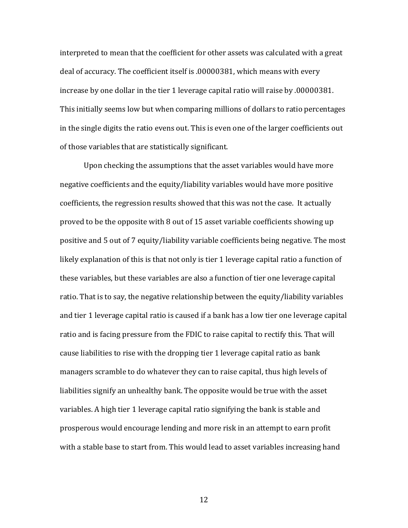interpreted to mean that the coefficient for other assets was calculated with a great deal of accuracy. The coefficient itself is .00000381, which means with every increase by one dollar in the tier 1 leverage capital ratio will raise by .00000381. This initially seems low but when comparing millions of dollars to ratio percentages in the single digits the ratio evens out. This is even one of the larger coefficients out of those variables that are statistically significant.

Upon checking the assumptions that the asset variables would have more negative coefficients and the equity/liability variables would have more positive coefficients, the regression results showed that this was not the case. It actually proved to be the opposite with 8 out of 15 asset variable coefficients showing up positive and 5 out of 7 equity/liability variable coefficients being negative. The most likely explanation of this is that not only is tier 1 leverage capital ratio a function of these variables, but these variables are also a function of tier one leverage capital ratio. That is to say, the negative relationship between the equity/liability variables and tier 1 leverage capital ratio is caused if a bank has a low tier one leverage capital ratio and is facing pressure from the FDIC to raise capital to rectify this. That will cause liabilities to rise with the dropping tier 1 leverage capital ratio as bank managers scramble to do whatever they can to raise capital, thus high levels of liabilities signify an unhealthy bank. The opposite would be true with the asset variables. A high tier 1 leverage capital ratio signifying the bank is stable and prosperous would encourage lending and more risk in an attempt to earn profit with a stable base to start from. This would lead to asset variables increasing hand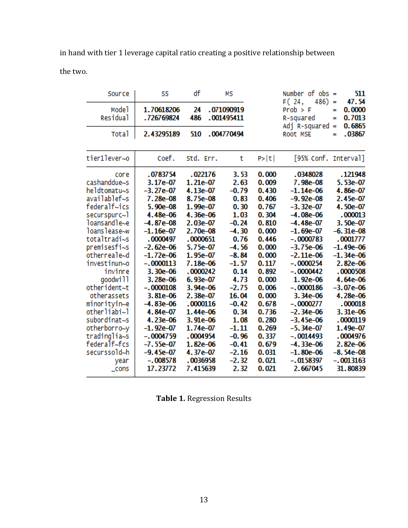in hand with tier 1 leverage capital ratio creating a positive relationship between the two.

| Source                                                                                                                                                                                                                                                                                                                                                                         | SS                                                                                                                                                                                                                                                                                                                                               | df                                                                                                                                                                                                                                                                                                          | мs                                                                                                                                                                                                                                           |                                                                                                                                                                                                                               | Number of $obs =$<br>F(24,<br>486)<br>$Prob$ > F<br>R-squared<br>Adj R-squared                                                                                                                                                                                                                                                                                       |        | 511                                                                                                                                                                                                                                                                                                                       |  |
|--------------------------------------------------------------------------------------------------------------------------------------------------------------------------------------------------------------------------------------------------------------------------------------------------------------------------------------------------------------------------------|--------------------------------------------------------------------------------------------------------------------------------------------------------------------------------------------------------------------------------------------------------------------------------------------------------------------------------------------------|-------------------------------------------------------------------------------------------------------------------------------------------------------------------------------------------------------------------------------------------------------------------------------------------------------------|----------------------------------------------------------------------------------------------------------------------------------------------------------------------------------------------------------------------------------------------|-------------------------------------------------------------------------------------------------------------------------------------------------------------------------------------------------------------------------------|----------------------------------------------------------------------------------------------------------------------------------------------------------------------------------------------------------------------------------------------------------------------------------------------------------------------------------------------------------------------|--------|---------------------------------------------------------------------------------------------------------------------------------------------------------------------------------------------------------------------------------------------------------------------------------------------------------------------------|--|
| Mode <sup>1</sup><br>Residual                                                                                                                                                                                                                                                                                                                                                  | 1.70618206<br>.726769824                                                                                                                                                                                                                                                                                                                         | 24<br>486                                                                                                                                                                                                                                                                                                   | .071090919<br>.001495411                                                                                                                                                                                                                     |                                                                                                                                                                                                                               |                                                                                                                                                                                                                                                                                                                                                                      |        | 47.54<br>0.0000<br>0.7013<br>0.6865                                                                                                                                                                                                                                                                                       |  |
| <b>Total</b>                                                                                                                                                                                                                                                                                                                                                                   | 2.43295189                                                                                                                                                                                                                                                                                                                                       | 510                                                                                                                                                                                                                                                                                                         | .004770494                                                                                                                                                                                                                                   |                                                                                                                                                                                                                               | Root MSE                                                                                                                                                                                                                                                                                                                                                             | Ξ<br>= | .03867                                                                                                                                                                                                                                                                                                                    |  |
| tier1lever~o                                                                                                                                                                                                                                                                                                                                                                   | Coef.                                                                                                                                                                                                                                                                                                                                            | Std. Err.                                                                                                                                                                                                                                                                                                   | t                                                                                                                                                                                                                                            | P >  t                                                                                                                                                                                                                        | [95% Conf. Interval]                                                                                                                                                                                                                                                                                                                                                 |        |                                                                                                                                                                                                                                                                                                                           |  |
| core<br>cashanddue~s<br>heldtomatu~s<br>availablef~s<br>federalf~ics<br>securspurc~1<br>loansandle~e<br>loanslease~w<br>totaltradi~s<br>premisesfi~s<br>otherreale~d<br>investinun~o<br>invinre<br>goodwill<br>otherident~t<br>otherassets<br>minorityin~e<br>otherliabi~l<br>subordinat~s<br>otherborro~y<br>tradinglia~s<br>federalf~fcs<br>securssold~h<br>year<br>$\_cons$ | .0783754<br>$3.17e-07$<br>$-3.27e-07$<br>7.28e-08<br>5.90e-08<br>4.48e-06<br>$-4.87e-08$<br>$-1.16e-07$<br>.0000497<br>$-2.62e-06$<br>$-1.72e-06$<br>$-.0000113$<br>3.30e-06<br>3.28e-06<br>$-.0000108$<br>$3.81e-06$<br>$-4.83e-06$<br>4.84e-07<br>4.23e-06<br>$-1.92e-07$<br>$-.0004759$<br>$-7.55e-07$<br>-9.45e-07<br>$-.008578$<br>17.23772 | .022176<br>1.21e-07<br>4.13e-07<br>8.75e-08<br>1.99e-07<br>4.36e-06<br>2.03e-07<br>2.70e-08<br>.0000651<br>5.75e-07<br>1.95e-07<br>7.18e-06<br>.0000242<br>$6.93e-07$<br>3.94e-06<br>2.38e-07<br>.0000116<br>1.44e-06<br>$3.91e-06$<br>1.74e-07<br>.0004954<br>1.82e-06<br>4.37e-07<br>.0036958<br>7.415639 | 3.53<br>2.63<br>$-0.79$<br>0.83<br>0.30<br>1.03<br>$-0.24$<br>$-4.30$<br>0.76<br>$-4.56$<br>$-8.84$<br>$-1.57$<br>0.14<br>4.73<br>$-2.75$<br>16.04<br>$-0.42$<br>0.34<br>1.08<br>$-1.11$<br>$-0.96$<br>$-0.41$<br>$-2.16$<br>$-2.32$<br>2.32 | 0.000<br>0.009<br>0.430<br>0.406<br>0.767<br>0.304<br>0.810<br>0.000<br>0.446<br>0.000<br>0.000<br>0.117<br>0.892<br>0.000<br>0.006<br>0.000<br>0.678<br>0.736<br>0.280<br>0.269<br>0.337<br>0.679<br>0.031<br>0.021<br>0.021 | .0348028<br>7.98e-08<br>$-1.14e-06$<br>$-9.92e-08$<br>$-3.32e-07$<br>$-4.08e-06$<br>$-4.48e-07$<br>$-1.69e-07$<br>$-.0000783$<br>$-3.75e-06$<br>$-2.11e-06$<br>$-.0000254$<br>$-.0000442$<br>1.92e-06<br>$-.0000186$<br>3.34e-06<br>$-.0000277$<br>$-2.34e-06$<br>$-3.45e-06$<br>$-5.34e-07$<br>$-.0014493$<br>$-4.33e-06$<br>$-1.80e-06$<br>$-.0158397$<br>2.667045 |        | .121948<br>5.53e-07<br>4.86e-07<br>2.45e-07<br>4.50e-07<br>.000013<br>3.50e-07<br>$-6.31e-08$<br>.0001777<br>$-1.49e-06$<br>$-1.34e-06$<br>2.82e-06<br>.0000508<br>4.64e-06<br>$-3.07e-06$<br>4.28e-06<br>.000018<br>3.31e-06<br>.0000119<br>$1.49e-07$<br>.0004976<br>2.82e-06<br>$-8.54e-08$<br>$-.0013163$<br>31.80839 |  |

**Table 1.** Regression Results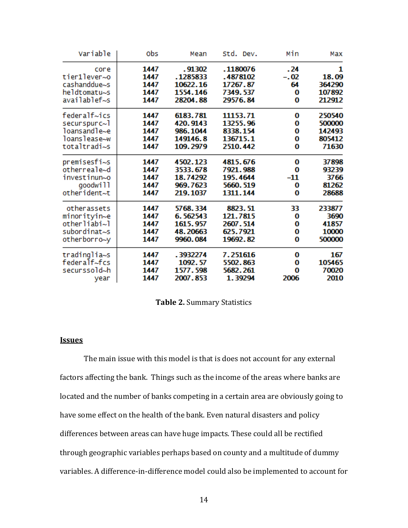| Max    | Min    | Std. Dev. | Mean     | obs  | Variable     |
|--------|--------|-----------|----------|------|--------------|
| 1      | .24    | .1180076  | . 91302  | 1447 | core         |
| 18.09  | $-.02$ | .4878102  | .1285833 | 1447 | tier1lever~o |
| 364290 | 64     | 17267.87  | 10622.16 | 1447 | cashanddue~s |
| 107892 | 0      | 7349.537  | 1554.146 | 1447 | heldtomatu~s |
| 212912 | 0      | 29576.84  | 28204.88 | 1447 | availablef~s |
| 250540 | 0      | 11153.71  | 6183.781 | 1447 | federalf~ics |
| 500000 | 0      | 13255.96  | 420.9143 | 1447 | securspurc~1 |
| 142493 | 0      | 8338.154  | 986.1044 | 1447 | loansandle~e |
| 805412 | 0      | 136715.1  | 149146.8 | 1447 | loanslease~w |
| 71630  | 0      | 2510.442  | 109.2979 | 1447 | totaltradi~s |
| 37898  | 0      | 4815.676  | 4502.123 | 1447 | premisesfi~s |
| 93239  | 0      | 7921.988  | 3533.678 | 1447 | otherreale~d |
| 3766   | -11    | 195.4644  | 18.74292 | 1447 | investinun~o |
| 81262  | 0      | 5660.519  | 969.7623 | 1447 | goodwill     |
| 28688  | 0      | 1311.144  | 219.1037 | 1447 | otherident~t |
| 233877 | 33     | 8823.51   | 5768.334 | 1447 | otherassets  |
| 3690   | 0      | 121.7815  | 6.562543 | 1447 | minorityin~e |
| 41857  | 0      | 2607.514  | 1615.957 | 1447 | otherliabi~l |
| 10000  | 0      | 625.7921  | 48.20663 | 1447 | subordinat~s |
| 500000 | 0      | 19692.82  | 9960.084 | 1447 | otherborro~y |
| 167    | 0      | 7.251616  | .3932274 | 1447 | tradinglia~s |
| 105465 | 0      | 5502.863  | 1092.57  | 1447 | federalf~fcs |
| 70020  | o      | 5682.261  | 1577.598 | 1447 | securssold~h |
| 2010   | 2006   | 1.39294   | 2007.853 | 1447 | year         |

**Table 2.** Summary Statistics

## **Issues**

The main issue with this model is that is does not account for any external factors affecting the bank. Things such as the income of the areas where banks are located and the number of banks competing in a certain area are obviously going to have some effect on the health of the bank. Even natural disasters and policy differences between areas can have huge impacts. These could all be rectified through geographic variables perhaps based on county and a multitude of dummy variables. A difference-in-difference model could also be implemented to account for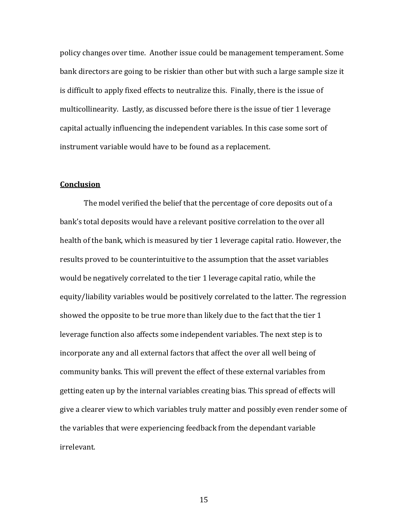policy changes over time. Another issue could be management temperament. Some bank directors are going to be riskier than other but with such a large sample size it is difficult to apply fixed effects to neutralize this. Finally, there is the issue of multicollinearity. Lastly, as discussed before there is the issue of tier 1 leverage capital actually influencing the independent variables. In this case some sort of instrument variable would have to be found as a replacement.

## **Conclusion**

The model verified the belief that the percentage of core deposits out of a bank's total deposits would have a relevant positive correlation to the over all health of the bank, which is measured by tier 1 leverage capital ratio. However, the results proved to be counterintuitive to the assumption that the asset variables would be negatively correlated to the tier 1 leverage capital ratio, while the equity/liability variables would be positively correlated to the latter. The regression showed the opposite to be true more than likely due to the fact that the tier 1 leverage function also affects some independent variables. The next step is to incorporate any and all external factors that affect the over all well being of community banks. This will prevent the effect of these external variables from getting eaten up by the internal variables creating bias. This spread of effects will give a clearer view to which variables truly matter and possibly even render some of the variables that were experiencing feedback from the dependant variable irrelevant.